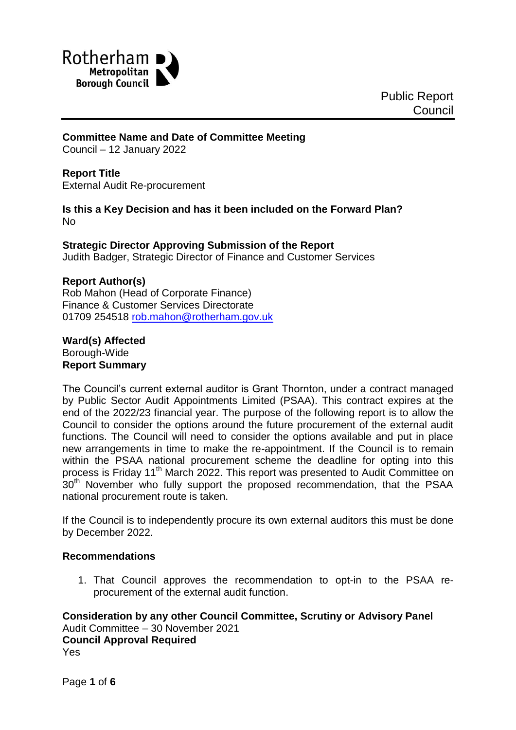

### **Committee Name and Date of Committee Meeting**

Council – 12 January 2022

#### **Report Title**

External Audit Re-procurement

**Is this a Key Decision and has it been included on the Forward Plan?** No

#### **Strategic Director Approving Submission of the Report** Judith Badger, Strategic Director of Finance and Customer Services

### **Report Author(s)**

Rob Mahon (Head of Corporate Finance) Finance & Customer Services Directorate 01709 254518 [rob.mahon@rotherham.gov.uk](mailto:rob.mahon@rotherham.gov.uk)

#### **Ward(s) Affected** Borough-Wide **Report Summary**

The Council's current external auditor is Grant Thornton, under a contract managed by Public Sector Audit Appointments Limited (PSAA). This contract expires at the end of the 2022/23 financial year. The purpose of the following report is to allow the Council to consider the options around the future procurement of the external audit functions. The Council will need to consider the options available and put in place new arrangements in time to make the re-appointment. If the Council is to remain within the PSAA national procurement scheme the deadline for opting into this process is Friday 11<sup>th</sup> March 2022. This report was presented to Audit Committee on 30<sup>th</sup> November who fully support the proposed recommendation, that the PSAA national procurement route is taken.

If the Council is to independently procure its own external auditors this must be done by December 2022.

#### **Recommendations**

1. That Council approves the recommendation to opt-in to the PSAA reprocurement of the external audit function.

**Consideration by any other Council Committee, Scrutiny or Advisory Panel** Audit Committee – 30 November 2021 **Council Approval Required** Yes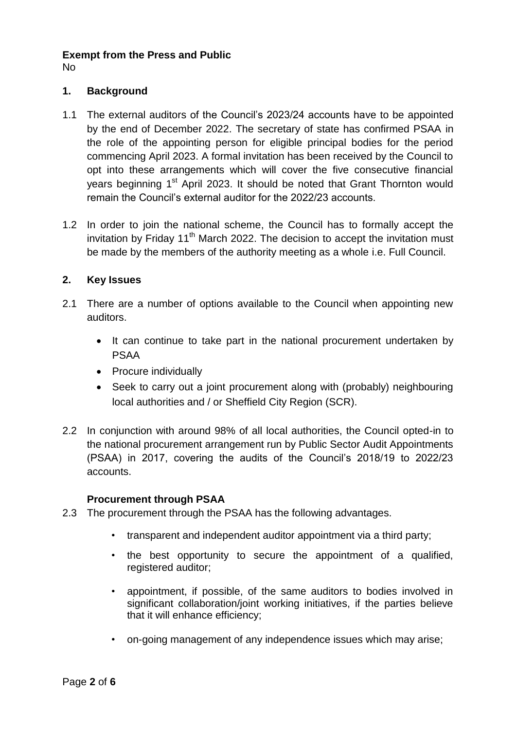# **Exempt from the Press and Public**

No

# **1. Background**

- 1.1 The external auditors of the Council's 2023/24 accounts have to be appointed by the end of December 2022. The secretary of state has confirmed PSAA in the role of the appointing person for eligible principal bodies for the period commencing April 2023. A formal invitation has been received by the Council to opt into these arrangements which will cover the five consecutive financial years beginning 1<sup>st</sup> April 2023. It should be noted that Grant Thornton would remain the Council's external auditor for the 2022/23 accounts.
- 1.2 In order to join the national scheme, the Council has to formally accept the invitation by Friday  $11<sup>th</sup>$  March 2022. The decision to accept the invitation must be made by the members of the authority meeting as a whole i.e. Full Council.

# **2. Key Issues**

- 2.1 There are a number of options available to the Council when appointing new auditors.
	- It can continue to take part in the national procurement undertaken by PSAA
	- Procure individually
	- Seek to carry out a joint procurement along with (probably) neighbouring local authorities and / or Sheffield City Region (SCR).
- 2.2 In conjunction with around 98% of all local authorities, the Council opted-in to the national procurement arrangement run by Public Sector Audit Appointments (PSAA) in 2017, covering the audits of the Council's 2018/19 to 2022/23 accounts.

### **Procurement through PSAA**

- 2.3 The procurement through the PSAA has the following advantages.
	- transparent and independent auditor appointment via a third party;
	- the best opportunity to secure the appointment of a qualified, registered auditor;
	- appointment, if possible, of the same auditors to bodies involved in significant collaboration/joint working initiatives, if the parties believe that it will enhance efficiency;
	- on-going management of any independence issues which may arise;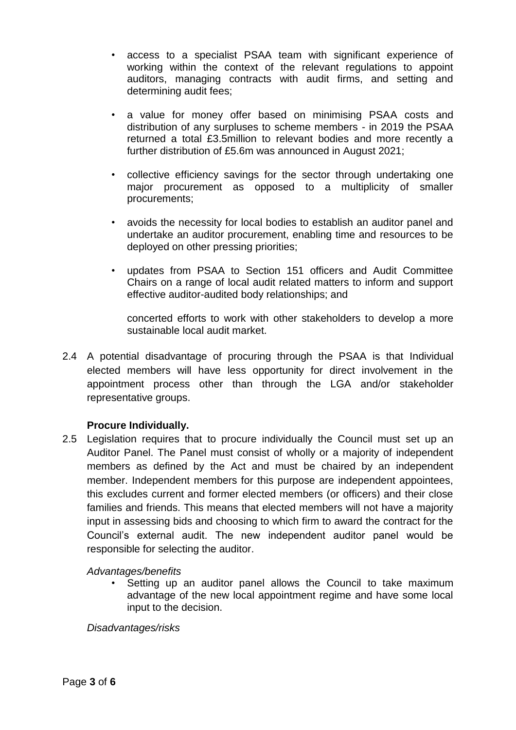- access to a specialist PSAA team with significant experience of working within the context of the relevant regulations to appoint auditors, managing contracts with audit firms, and setting and determining audit fees;
- a value for money offer based on minimising PSAA costs and distribution of any surpluses to scheme members - in 2019 the PSAA returned a total £3.5million to relevant bodies and more recently a further distribution of £5.6m was announced in August 2021;
- collective efficiency savings for the sector through undertaking one major procurement as opposed to a multiplicity of smaller procurements;
- avoids the necessity for local bodies to establish an auditor panel and undertake an auditor procurement, enabling time and resources to be deployed on other pressing priorities;
- updates from PSAA to Section 151 officers and Audit Committee Chairs on a range of local audit related matters to inform and support effective auditor-audited body relationships; and

concerted efforts to work with other stakeholders to develop a more sustainable local audit market.

2.4 A potential disadvantage of procuring through the PSAA is that Individual elected members will have less opportunity for direct involvement in the appointment process other than through the LGA and/or stakeholder representative groups.

# **Procure Individually.**

2.5 Legislation requires that to procure individually the Council must set up an Auditor Panel. The Panel must consist of wholly or a majority of independent members as defined by the Act and must be chaired by an independent member. Independent members for this purpose are independent appointees, this excludes current and former elected members (or officers) and their close families and friends. This means that elected members will not have a majority input in assessing bids and choosing to which firm to award the contract for the Council's external audit. The new independent auditor panel would be responsible for selecting the auditor.

### *Advantages/benefits*

Setting up an auditor panel allows the Council to take maximum advantage of the new local appointment regime and have some local input to the decision.

#### *Disadvantages/risks*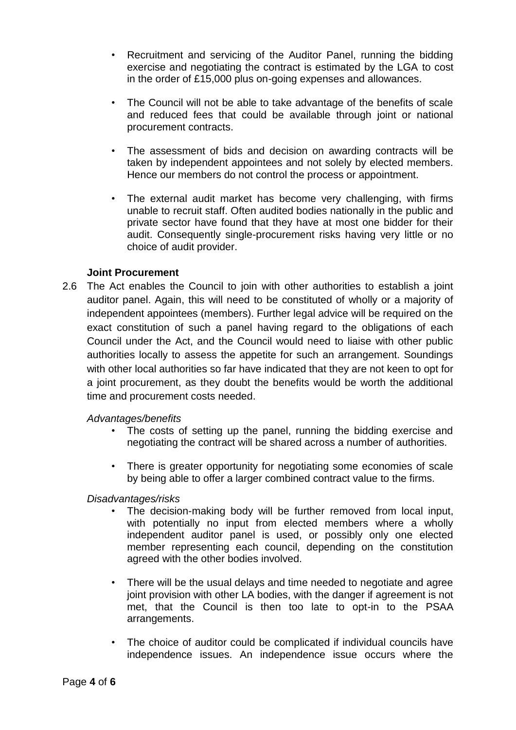- Recruitment and servicing of the Auditor Panel, running the bidding exercise and negotiating the contract is estimated by the LGA to cost in the order of £15,000 plus on-going expenses and allowances.
- The Council will not be able to take advantage of the benefits of scale and reduced fees that could be available through joint or national procurement contracts.
- The assessment of bids and decision on awarding contracts will be taken by independent appointees and not solely by elected members. Hence our members do not control the process or appointment.
- The external audit market has become very challenging, with firms unable to recruit staff. Often audited bodies nationally in the public and private sector have found that they have at most one bidder for their audit. Consequently single-procurement risks having very little or no choice of audit provider.

### **Joint Procurement**

2.6 The Act enables the Council to join with other authorities to establish a joint auditor panel. Again, this will need to be constituted of wholly or a majority of independent appointees (members). Further legal advice will be required on the exact constitution of such a panel having regard to the obligations of each Council under the Act, and the Council would need to liaise with other public authorities locally to assess the appetite for such an arrangement. Soundings with other local authorities so far have indicated that they are not keen to opt for a joint procurement, as they doubt the benefits would be worth the additional time and procurement costs needed.

### *Advantages/benefits*

- The costs of setting up the panel, running the bidding exercise and negotiating the contract will be shared across a number of authorities.
- There is greater opportunity for negotiating some economies of scale by being able to offer a larger combined contract value to the firms.

### *Disadvantages/risks*

- The decision-making body will be further removed from local input, with potentially no input from elected members where a wholly independent auditor panel is used, or possibly only one elected member representing each council, depending on the constitution agreed with the other bodies involved.
- There will be the usual delays and time needed to negotiate and agree joint provision with other LA bodies, with the danger if agreement is not met, that the Council is then too late to opt-in to the PSAA arrangements.
- The choice of auditor could be complicated if individual councils have independence issues. An independence issue occurs where the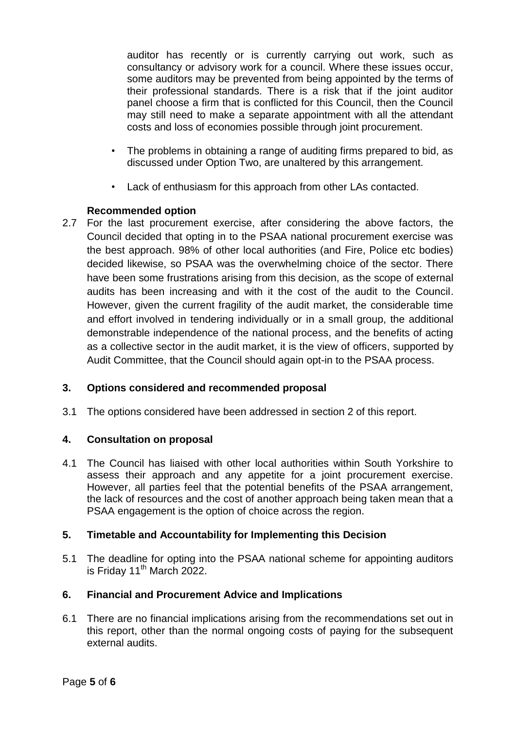auditor has recently or is currently carrying out work, such as consultancy or advisory work for a council. Where these issues occur, some auditors may be prevented from being appointed by the terms of their professional standards. There is a risk that if the joint auditor panel choose a firm that is conflicted for this Council, then the Council may still need to make a separate appointment with all the attendant costs and loss of economies possible through joint procurement.

- The problems in obtaining a range of auditing firms prepared to bid, as discussed under Option Two, are unaltered by this arrangement.
- Lack of enthusiasm for this approach from other LAs contacted.

# **Recommended option**

2.7 For the last procurement exercise, after considering the above factors, the Council decided that opting in to the PSAA national procurement exercise was the best approach. 98% of other local authorities (and Fire, Police etc bodies) decided likewise, so PSAA was the overwhelming choice of the sector. There have been some frustrations arising from this decision, as the scope of external audits has been increasing and with it the cost of the audit to the Council. However, given the current fragility of the audit market, the considerable time and effort involved in tendering individually or in a small group, the additional demonstrable independence of the national process, and the benefits of acting as a collective sector in the audit market, it is the view of officers, supported by Audit Committee, that the Council should again opt-in to the PSAA process.

# **3. Options considered and recommended proposal**

3.1 The options considered have been addressed in section 2 of this report.

# **4. Consultation on proposal**

4.1 The Council has liaised with other local authorities within South Yorkshire to assess their approach and any appetite for a joint procurement exercise. However, all parties feel that the potential benefits of the PSAA arrangement, the lack of resources and the cost of another approach being taken mean that a PSAA engagement is the option of choice across the region.

# **5. Timetable and Accountability for Implementing this Decision**

5.1 The deadline for opting into the PSAA national scheme for appointing auditors is Friday  $11^{th}$  March 2022.

### **6. Financial and Procurement Advice and Implications**

6.1 There are no financial implications arising from the recommendations set out in this report, other than the normal ongoing costs of paying for the subsequent external audits.